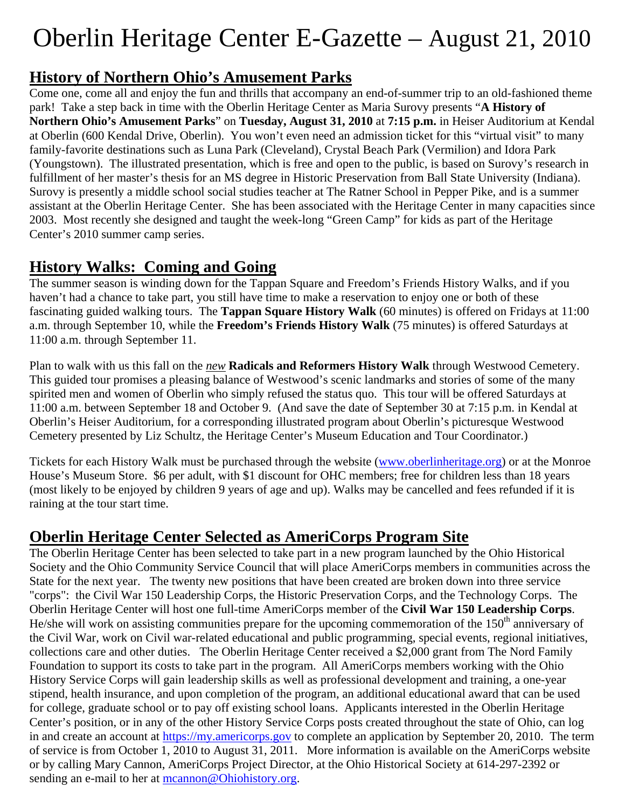# Oberlin Heritage Center E-Gazette – August 21, 2010

#### **History of Northern Ohio's Amusement Parks**

Come one, come all and enjoy the fun and thrills that accompany an end-of-summer trip to an old-fashioned theme park! Take a step back in time with the Oberlin Heritage Center as Maria Surovy presents "**A History of Northern Ohio's Amusement Parks**" on **Tuesday, August 31, 2010** at **7:15 p.m.** in Heiser Auditorium at Kendal at Oberlin (600 Kendal Drive, Oberlin). You won't even need an admission ticket for this "virtual visit" to many family-favorite destinations such as Luna Park (Cleveland), Crystal Beach Park (Vermilion) and Idora Park (Youngstown). The illustrated presentation, which is free and open to the public, is based on Surovy's research in fulfillment of her master's thesis for an MS degree in Historic Preservation from Ball State University (Indiana). Surovy is presently a middle school social studies teacher at The Ratner School in Pepper Pike, and is a summer assistant at the Oberlin Heritage Center. She has been associated with the Heritage Center in many capacities since 2003. Most recently she designed and taught the week-long "Green Camp" for kids as part of the Heritage Center's 2010 summer camp series.

#### **History Walks: Coming and Going**

The summer season is winding down for the Tappan Square and Freedom's Friends History Walks, and if you haven't had a chance to take part, you still have time to make a reservation to enjoy one or both of these fascinating guided walking tours. The **Tappan Square History Walk** (60 minutes) is offered on Fridays at 11:00 a.m. through September 10, while the **Freedom's Friends History Walk** (75 minutes) is offered Saturdays at 11:00 a.m. through September 11.

Plan to walk with us this fall on the *new* **Radicals and Reformers History Walk** through Westwood Cemetery. This guided tour promises a pleasing balance of Westwood's scenic landmarks and stories of some of the many spirited men and women of Oberlin who simply refused the status quo. This tour will be offered Saturdays at 11:00 a.m. between September 18 and October 9. (And save the date of September 30 at 7:15 p.m. in Kendal at Oberlin's Heiser Auditorium, for a corresponding illustrated program about Oberlin's picturesque Westwood Cemetery presented by Liz Schultz, the Heritage Center's Museum Education and Tour Coordinator.)

Tickets for each History Walk must be purchased through the website (www.oberlinheritage.org) or at the Monroe House's Museum Store. \$6 per adult, with \$1 discount for OHC members; free for children less than 18 years (most likely to be enjoyed by children 9 years of age and up). Walks may be cancelled and fees refunded if it is raining at the tour start time.

## **Oberlin Heritage Center Selected as AmeriCorps Program Site**

The Oberlin Heritage Center has been selected to take part in a new program launched by the Ohio Historical Society and the Ohio Community Service Council that will place AmeriCorps members in communities across the State for the next year. The twenty new positions that have been created are broken down into three service "corps": the Civil War 150 Leadership Corps, the Historic Preservation Corps, and the Technology Corps. The Oberlin Heritage Center will host one full-time AmeriCorps member of the **Civil War 150 Leadership Corps**. He/she will work on assisting communities prepare for the upcoming commemoration of the 150<sup>th</sup> anniversary of the Civil War, work on Civil war-related educational and public programming, special events, regional initiatives, collections care and other duties. The Oberlin Heritage Center received a \$2,000 grant from The Nord Family Foundation to support its costs to take part in the program. All AmeriCorps members working with the Ohio History Service Corps will gain leadership skills as well as professional development and training, a one-year stipend, health insurance, and upon completion of the program, an additional educational award that can be used for college, graduate school or to pay off existing school loans. Applicants interested in the Oberlin Heritage Center's position, or in any of the other History Service Corps posts created throughout the state of Ohio, can log in and create an account at https://my.americorps.gov to complete an application by September 20, 2010. The term of service is from October 1, 2010 to August 31, 2011. More information is available on the AmeriCorps website or by calling Mary Cannon, AmeriCorps Project Director, at the Ohio Historical Society at 614-297-2392 or sending an e-mail to her at mcannon@Ohiohistory.org.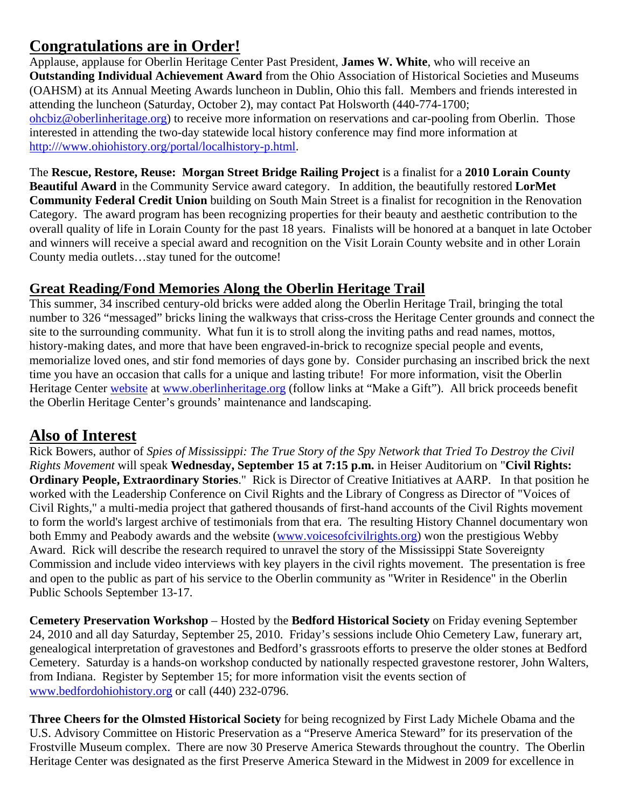## **Congratulations are in Order!**

Applause, applause for Oberlin Heritage Center Past President, **James W. White**, who will receive an **Outstanding Individual Achievement Award** from the Ohio Association of Historical Societies and Museums (OAHSM) at its Annual Meeting Awards luncheon in Dublin, Ohio this fall. Members and friends interested in attending the luncheon (Saturday, October 2), may contact Pat Holsworth (440-774-1700; ohcbiz@oberlinheritage.org) to receive more information on reservations and car-pooling from Oberlin. Those interested in attending the two-day statewide local history conference may find more information at http:///www.ohiohistory.org/portal/localhistory-p.html.

The **Rescue, Restore, Reuse: Morgan Street Bridge Railing Project** is a finalist for a **2010 Lorain County Beautiful Award** in the Community Service award category. In addition, the beautifully restored **LorMet Community Federal Credit Union** building on South Main Street is a finalist for recognition in the Renovation Category. The award program has been recognizing properties for their beauty and aesthetic contribution to the overall quality of life in Lorain County for the past 18 years. Finalists will be honored at a banquet in late October and winners will receive a special award and recognition on the Visit Lorain County website and in other Lorain County media outlets…stay tuned for the outcome!

#### **Great Reading/Fond Memories Along the Oberlin Heritage Trail**

This summer, 34 inscribed century-old bricks were added along the Oberlin Heritage Trail, bringing the total number to 326 "messaged" bricks lining the walkways that criss-cross the Heritage Center grounds and connect the site to the surrounding community. What fun it is to stroll along the inviting paths and read names, mottos, history-making dates, and more that have been engraved-in-brick to recognize special people and events, memorialize loved ones, and stir fond memories of days gone by. Consider purchasing an inscribed brick the next time you have an occasion that calls for a unique and lasting tribute! For more information, visit the Oberlin Heritage Center website at www.oberlinheritage.org (follow links at "Make a Gift"). All brick proceeds benefit the Oberlin Heritage Center's grounds' maintenance and landscaping.

#### **Also of Interest**

Rick Bowers, author of *Spies of Mississippi: The True Story of the Spy Network that Tried To Destroy the Civil Rights Movement* will speak **Wednesday, September 15 at 7:15 p.m.** in Heiser Auditorium on "**Civil Rights: Ordinary People, Extraordinary Stories**." Rick is Director of Creative Initiatives at AARP. In that position he worked with the Leadership Conference on Civil Rights and the Library of Congress as Director of "Voices of Civil Rights," a multi-media project that gathered thousands of first-hand accounts of the Civil Rights movement to form the world's largest archive of testimonials from that era. The resulting History Channel documentary won both Emmy and Peabody awards and the website (www.voicesofcivilrights.org) won the prestigious Webby Award. Rick will describe the research required to unravel the story of the Mississippi State Sovereignty Commission and include video interviews with key players in the civil rights movement. The presentation is free and open to the public as part of his service to the Oberlin community as "Writer in Residence" in the Oberlin Public Schools September 13-17.

**Cemetery Preservation Workshop** – Hosted by the **Bedford Historical Society** on Friday evening September 24, 2010 and all day Saturday, September 25, 2010. Friday's sessions include Ohio Cemetery Law, funerary art, genealogical interpretation of gravestones and Bedford's grassroots efforts to preserve the older stones at Bedford Cemetery. Saturday is a hands-on workshop conducted by nationally respected gravestone restorer, John Walters, from Indiana. Register by September 15; for more information visit the events section of www.bedfordohiohistory.org or call (440) 232-0796.

**Three Cheers for the Olmsted Historical Society** for being recognized by First Lady Michele Obama and the U.S. Advisory Committee on Historic Preservation as a "Preserve America Steward" for its preservation of the Frostville Museum complex. There are now 30 Preserve America Stewards throughout the country. The Oberlin Heritage Center was designated as the first Preserve America Steward in the Midwest in 2009 for excellence in